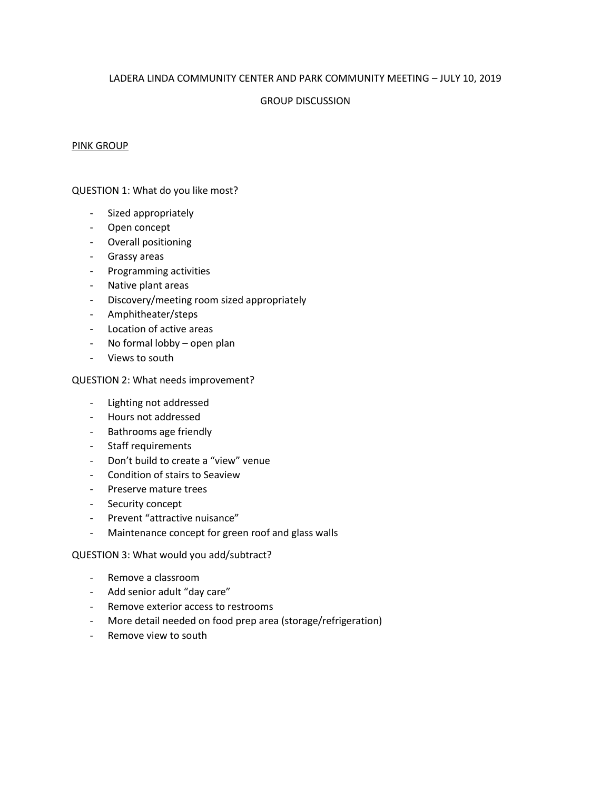## LADERA LINDA COMMUNITY CENTER AND PARK COMMUNITY MEETING – JULY 10, 2019

## GROUP DISCUSSION

#### PINK GROUP

## QUESTION 1: What do you like most?

- Sized appropriately
- Open concept
- Overall positioning
- Grassy areas
- Programming activities
- Native plant areas
- Discovery/meeting room sized appropriately
- Amphitheater/steps
- Location of active areas
- No formal lobby open plan
- Views to south

## QUESTION 2: What needs improvement?

- Lighting not addressed
- Hours not addressed
- Bathrooms age friendly
- Staff requirements
- Don't build to create a "view" venue
- Condition of stairs to Seaview
- Preserve mature trees
- Security concept
- Prevent "attractive nuisance"
- Maintenance concept for green roof and glass walls

- Remove a classroom
- Add senior adult "day care"
- Remove exterior access to restrooms
- More detail needed on food prep area (storage/refrigeration)
- Remove view to south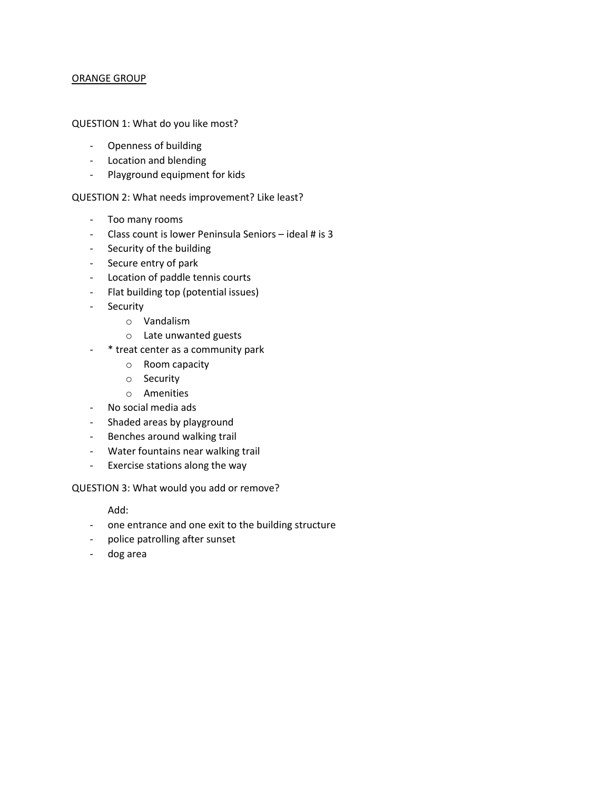## ORANGE GROUP

## QUESTION 1: What do you like most?

- Openness of building
- Location and blending
- Playground equipment for kids

# QUESTION 2: What needs improvement? Like least?

- Too many rooms
- Class count is lower Peninsula Seniors ideal # is 3
- Security of the building
- Secure entry of park
- Location of paddle tennis courts
- Flat building top (potential issues)
- Security
	- o Vandalism
	- o Late unwanted guests
- \* treat center as a community park
	- o Room capacity
	- o Security
	- o Amenities
- No social media ads
- Shaded areas by playground
- Benches around walking trail
- Water fountains near walking trail
- Exercise stations along the way

QUESTION 3: What would you add or remove?

Add:

- one entrance and one exit to the building structure
- police patrolling after sunset
- dog area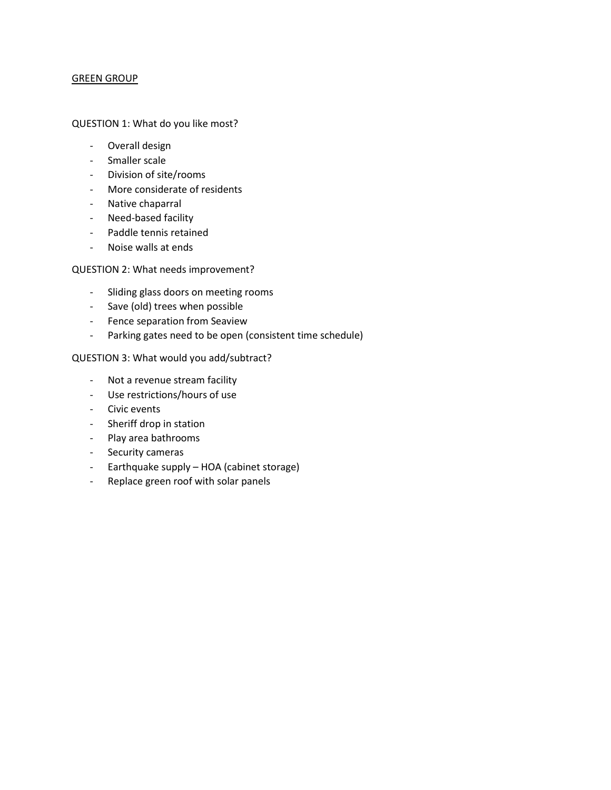## GREEN GROUP

#### QUESTION 1: What do you like most?

- Overall design
- Smaller scale
- Division of site/rooms
- More considerate of residents
- Native chaparral
- Need-based facility
- Paddle tennis retained
- Noise walls at ends

## QUESTION 2: What needs improvement?

- Sliding glass doors on meeting rooms
- Save (old) trees when possible
- Fence separation from Seaview
- Parking gates need to be open (consistent time schedule)

- Not a revenue stream facility
- Use restrictions/hours of use
- Civic events
- Sheriff drop in station
- Play area bathrooms
- Security cameras
- Earthquake supply HOA (cabinet storage)
- Replace green roof with solar panels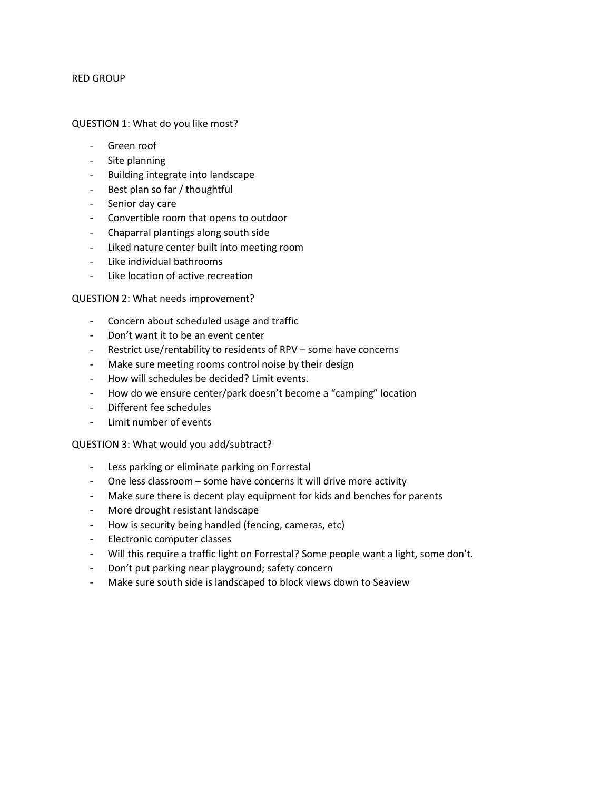#### RED GROUP

#### QUESTION 1: What do you like most?

- Green roof
- Site planning
- Building integrate into landscape
- Best plan so far / thoughtful
- Senior day care
- Convertible room that opens to outdoor
- Chaparral plantings along south side
- Liked nature center built into meeting room
- Like individual bathrooms
- Like location of active recreation

## QUESTION 2: What needs improvement?

- Concern about scheduled usage and traffic
- Don't want it to be an event center
- Restrict use/rentability to residents of RPV some have concerns
- Make sure meeting rooms control noise by their design
- How will schedules be decided? Limit events.
- How do we ensure center/park doesn't become a "camping" location
- Different fee schedules
- Limit number of events

- Less parking or eliminate parking on Forrestal
- One less classroom some have concerns it will drive more activity
- Make sure there is decent play equipment for kids and benches for parents
- More drought resistant landscape
- How is security being handled (fencing, cameras, etc)
- Electronic computer classes
- Will this require a traffic light on Forrestal? Some people want a light, some don't.
- Don't put parking near playground; safety concern
- Make sure south side is landscaped to block views down to Seaview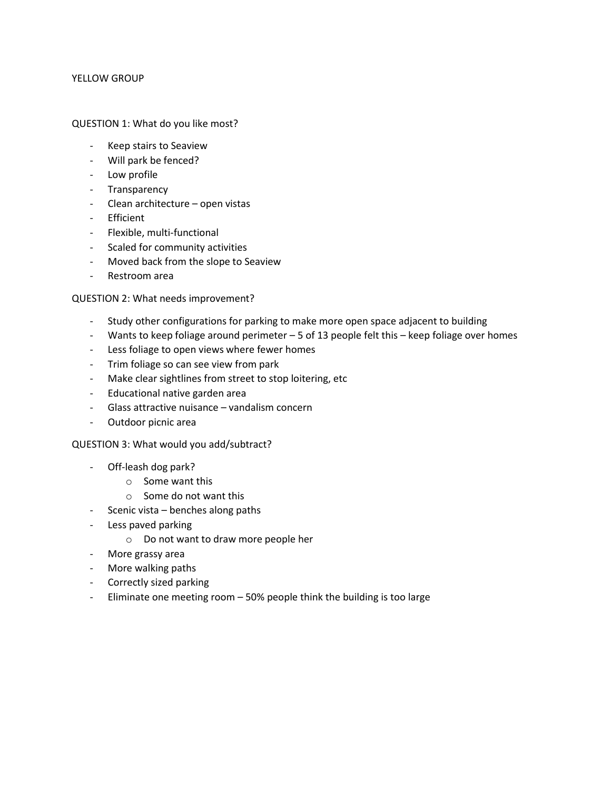#### YELLOW GROUP

#### QUESTION 1: What do you like most?

- Keep stairs to Seaview
- Will park be fenced?
- Low profile
- Transparency
- Clean architecture open vistas
- Efficient
- Flexible, multi-functional
- Scaled for community activities
- Moved back from the slope to Seaview
- Restroom area

## QUESTION 2: What needs improvement?

- Study other configurations for parking to make more open space adjacent to building
- Wants to keep foliage around perimeter 5 of 13 people felt this keep foliage over homes
- Less foliage to open views where fewer homes
- Trim foliage so can see view from park
- Make clear sightlines from street to stop loitering, etc
- Educational native garden area
- Glass attractive nuisance vandalism concern
- Outdoor picnic area

- Off-leash dog park?
	- o Some want this
	- o Some do not want this
- Scenic vista benches along paths
- Less paved parking
	- o Do not want to draw more people her
- More grassy area
- More walking paths
- Correctly sized parking
- Eliminate one meeting room 50% people think the building is too large